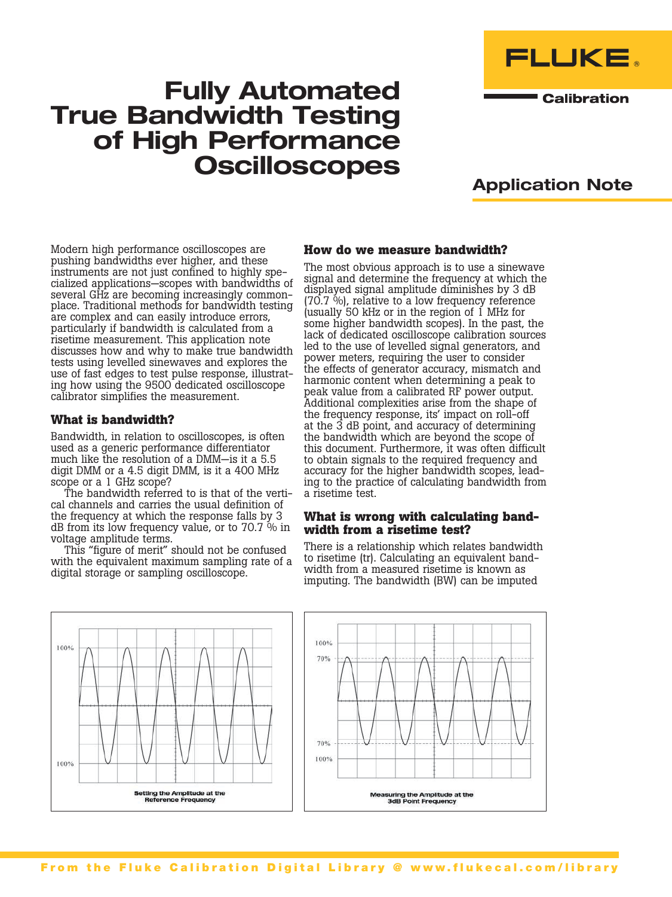

**Calibration** 

# Fully Automated True Bandwidth Testing of High Performance **Oscilloscopes**



Modern high performance oscilloscopes are pushing bandwidths ever higher, and these<br>instruments are not just confined to highly specialized applications—scopes with bandwidths of<br>several GHz are becoming increasingly commonplace. Traditional methods for bandwidth testing are complex and can easily introduce errors, particularly if bandwidth is calculated from a risetime measurement. This application note discusses how and why to make true bandwidth tests using levelled sinewaves and explores the use of fast edges to test pulse response, illustrat- ing how using the 9500 dedicated oscilloscope calibrator simplifies the measurement.

# **What is bandwidth?**

Bandwidth, in relation to oscilloscopes, is often used as a generic performance differentiator much like the resolution of a DMM—is it a 5.5 digit DMM or a 4.5 digit DMM, is it a 400 MHz scope or a 1 GHz scope?

The bandwidth referred to is that of the vertical channels and carries the usual definition of the frequency at which the response falls by 3 dB from its low frequency value, or to 70.7 % in voltage amplitude terms.

This "figure of merit" should not be confused with the equivalent maximum sampling rate of a digital storage or sampling oscilloscope.

# **How do we measure bandwidth?**

The most obvious approach is to use a sinewave signal and determine the frequency at which the displayed signal amplitude diminishes by 3 dB (70.7 %), relative to a low frequency reference (usually 50 kHz or in the region of 1 MHz for some higher bandwidth scopes). In the past, the lack of dedicated oscilloscope calibration sources led to the use of levelled signal generators, and power meters, requiring the user to consider the effects of generator accuracy, mismatch and harmonic content when determining a peak to peak value from a calibrated RF power output. Additional complexities arise from the shape of the frequency response, its' impact on roll-off at the 3 dB point, and accuracy of determining the bandwidth which are beyond the scope of this document. Furthermore, it was often difficult to obtain signals to the required frequency and accuracy for the higher bandwidth scopes, leading to the practice of calculating bandwidth from a risetime test.

#### **What is wrong with calculating bandwidth from a risetime test?**

There is a relationship which relates bandwidth to risetime (tr). Calculating an equivalent bandwidth from a measured risetime is known as imputing. The bandwidth (BW) can be imputed



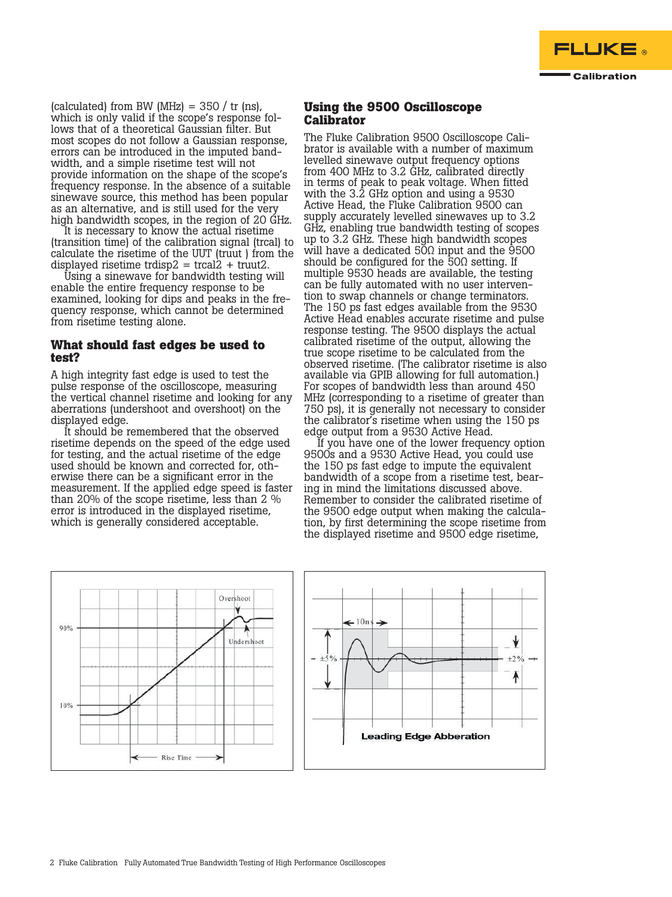

(calculated) from BW (MHz) =  $350 / tr$  (ns), which is only valid if the scope's response follows that of a theoretical Gaussian filter. But most scopes do not follow a Gaussian response, errors can be introduced in the imputed band- width, and a simple risetime test will not provide information on the shape of the scope's frequency response. In the absence of a suitable sinewave source, this method has been popular as an alternative, and is still used for the very high bandwidth scopes, in the region of 20 GHz.

It is necessary to know the actual risetime (transition time) of the calibration signal (trcal) to calculate the risetime of the UUT (truut ) from the displayed risetime trdisp2 = trcal2 + truut2.

Using a sinewave for bandwidth testing will enable the entire frequency response to be examined, looking for dips and peaks in the frequency response, which cannot be determined from risetime testing alone.

### **What should fast edges be used to test?**

A high integrity fast edge is used to test the pulse response of the oscilloscope, measuring the vertical channel risetime and looking for any aberrations (undershoot and overshoot) on the displayed edge.

It should be remembered that the observed risetime depends on the speed of the edge used for testing, and the actual risetime of the edge used should be known and corrected for, otherwise there can be a significant error in the measurement. If the applied edge speed is faster than 20% of the scope risetime, less than 2 % error is introduced in the displayed risetime, which is generally considered acceptable.

# **Using the 9500 Oscilloscope Calibrator**

The Fluke Calibration 9500 Oscilloscope Calibrator is available with a number of maximum levelled sinewave output frequency options from 400 MHz to 3.2 GHz, calibrated directly in terms of peak to peak voltage. When fitted with the 3.2 GHz option and using a 9530 Active Head, the Fluke Calibration 9500 can supply accurately levelled sinewaves up to 3.2 GHz, enabling true bandwidth testing of scopes up to 3.2 GHz. These high bandwidth scopes will have a dedicated 50Ω input and the 9500 should be configured for the  $50\Omega$  setting. If multiple 9530 heads are available, the testing can be fully automated with no user interven- tion to swap channels or change terminators. The 150 ps fast edges available from the 9530 Active Head enables accurate risetime and pulse response testing. The 9500 displays the actual calibrated risetime of the output, allowing the true scope risetime to be calculated from the observed risetime. (The calibrator risetime is also available via GPIB allowing for full automation.) For scopes of bandwidth less than around 450 MHz (corresponding to a risetime of greater than 750 ps), it is generally not necessary to consider the calibrator's risetime when using the 150 ps edge output from a 9530 Active Head.

If you have one of the lower frequency option 9500s and a 9530 Active Head, you could use the 150 ps fast edge to impute the equivalent bandwidth of a scope from a risetime test, bear- ing in mind the limitations discussed above. Remember to consider the calibrated risetime of the 9500 edge output when making the calculation, by first determining the scope risetime from the displayed risetime and 9500 edge risetime,